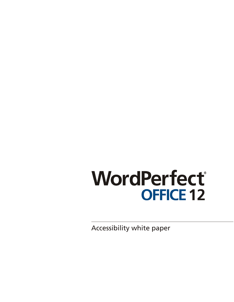# WordPerfect® **OFFICE 12**

Accessibility white paper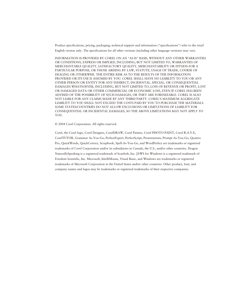Product specifications, pricing, packaging, technical support and information ("specifications") refer to the retail English version only. The specifications for all other versions (including other language versions) may vary.

INFORMATION IS PROVIDED BY COREL ON AN "AS IS" BASIS, WITHOUT ANY OTHER WARRANTIES OR CONDITIONS, EXPRESS OR IMPLIED, INCLUDING, BUT NOT LIMITED TO, WARRANTIES OF MERCHANTABLE QUALITY, SATISFACTORY QUALITY, MERCHANTABILITY OR FITNESS FOR A PARTICULAR PURPOSE, OR THOSE ARISING BY LAW, STATUTE, USAGE OF TRADE, COURSE OF DEALING OR OTHERWISE. THE ENTIRE RISK AS TO THE RESULTS OF THE INFORMATION PROVIDED OR ITS USE IS ASSUMED BY YOU. COREL SHALL HAVE NO LIABILITY TO YOU OR ANY OTHER PERSON OR ENTITY FOR ANY INDIRECT, INCIDENTAL, SPECIAL, OR CONSEQUENTIAL DAMAGES WHATSOEVER, INCLUDING, BUT NOT LIMITED TO, LOSS OF REVENUE OR PROFIT, LOST OR DAMAGED DATA OR OTHER COMMERCIAL OR ECONOMIC LOSS, EVEN IF COREL HAS BEEN ADVISED OF THE POSSIBILITY OF SUCH DAMAGES, OR THEY ARE FORESEEABLE. COREL IS ALSO NOT LIABLE FOR ANY CLAIMS MADE BY ANY THIRD PARTY. COREL'S MAXIMUM AGGREGATE LIABILITY TO YOU SHALL NOT EXCEED THE COSTS PAID BY YOU TO PURCHASE THE MATERIALS. SOME STATES/COUNTRIES DO NOT ALLOW EXCLUSIONS OR LIMITATIONS OF LIABILITY FOR CONSEQUENTIAL OR INCIDENTAL DAMAGES, SO THE ABOVE LIMITATIONS MAY NOT APPLY TO YOU.

© 2004 Corel Corporation. All rights reserved.

Corel, the Corel logo, Corel Designer, CorelDRAW, Corel Painter, Corel PHOTO-PAINT, Corel R.A.V.E, CorelTUTOR, Grammar As-You-Go, PerfectExpert, PerfectScript, Presentations, Prompt As-You-Go, Quattro Pro, QuickWords, QuickCorrect, Scrapbook, Spell-As-You-Go, and WordPerfect are trademarks or registered trademarks of Corel Corporation and/or its subsidiaries in Canada, the U.S., and/or other countries. Dragon NaturallySpeaking is a registered trademark of ScanSoft, Inc. JAWS for Windows is a registered trademark of Freedom Scientific, Inc. Microsoft, IntelliMouse, Visual Basic, and Windows are trademarks or registered trademarks of Microsoft Corporation in the United States and/or other countries. Other product, font, and company names and logos may be trademarks or registered trademarks of their respective companies.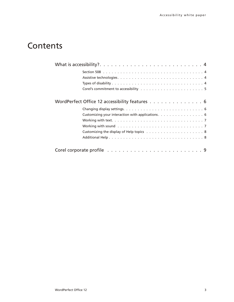# **Contents**

| WordPerfect Office 12 accessibility features 6    |  |
|---------------------------------------------------|--|
|                                                   |  |
| Customizing your interaction with applications. 6 |  |
|                                                   |  |
|                                                   |  |
|                                                   |  |
|                                                   |  |
|                                                   |  |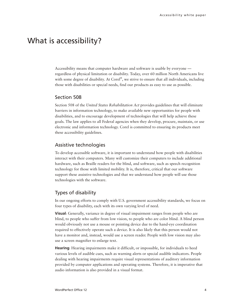## <span id="page-3-0"></span>What is accessibility?

Accessibility means that computer hardware and software is usable by everyone regardless of physical limitation or disability. Today, over 60 million North Americans live with some degree of disability. At Corel®, we strive to ensure that all individuals, including those with disabilities or special needs, find our products as easy to use as possible.

#### Section 508

Section 508 of the *United States Rehabilitation Act* provides guidelines that will eliminate barriers in information technology, to make available new opportunities for people with disabilities, and to encourage development of technologies that will help achieve these goals. The law applies to all Federal agencies when they develop, procure, maintain, or use electronic and information technology. Corel is committed to ensuring its products meet these accessibility guidelines.

#### Assistive technologies

To develop accessible software, it is important to understand how people with disabilities interact with their computers. Many will customize their computers to include additional hardware, such as Braille readers for the blind, and software, such as speech recognition technology for those with limited mobility. It is, therefore, critical that our software support these assistive technologies and that we understand how people will use those technologies with the software.

### Types of disability

In our ongoing efforts to comply with U.S. government accessibility standards, we focus on four types of disability, each with its own varying level of need.

**Visual**: Generally, variance in degree of visual impairment ranges from people who are blind, to people who suffer from low vision, to people who are color blind. A blind person would obviously not use a mouse or pointing device due to the hand-eye coordination required to effectively operate such a device. It is also likely that this person would not have a monitor and, instead, would use a screen reader. People with low vision may also use a screen magnifier to enlarge text.

**Hearing**: Hearing impairments make it difficult, or impossible, for individuals to heed various levels of audible cues, such as warning alerts or special audible indicators. People dealing with hearing impairments require visual representations of auditory information provided by computer applications and operating systems. Therefore, it is imperative that audio information is also provided in a visual format.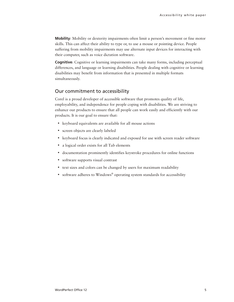<span id="page-4-0"></span>**Mobility**: Mobility or dexterity impairments often limit a person's movement or fine motor skills. This can affect their ability to type or, to use a mouse or pointing device. People suffering from mobility impairments may use alternate input devices for interacting with their computer, such as voice dictation software.

**Cognitive**: Cognitive or learning impairments can take many forms, including perceptual differences, and language or learning disabilities. People dealing with cognitive or learning disabilities may benefit from information that is presented in multiple formats simultaneously.

### Our commitment to accessibility

Corel is a proud developer of accessible software that promotes quality of life, employability, and independence for people coping with disabilities. We are striving to enhance our products to ensure that all people can work easily and efficiently with our products. It is our goal to ensure that:

- keyboard equivalents are available for all mouse actions
- screen objects are clearly labeled
- keyboard focus is clearly indicated and exposed for use with screen reader software
- a logical order exists for all Tab elements
- documentation prominently identifies keystroke procedures for online functions
- software supports visual contrast
- text sizes and colors can be changed by users for maximum readability
- software adheres to Windows® operating system standards for accessibility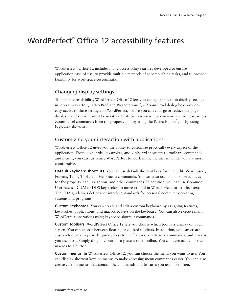## <span id="page-5-0"></span>WordPerfect® Office 12 accessibility features

WordPerfect® Office 12 includes many accessibility features developed to ensure application ease-of-use, to provide multiple methods of accomplishing tasks, and to provide flexibility for workspace customization.

## Changing display settings

To facilitate readability, WordPerfect Office 12 lets you change application display settings in several ways. In Quattro Pro® and Presentations™, a Zoom Level dialog box provides easy access to these settings. In WordPerfect, before you can enlarge or reduce the page display, the document must be in either Draft or Page view. For convenience, you can access Zoom Level commands from the property bar, by using the PerfectExpert™ , or by using keyboard shortcuts.

#### Customizing your interaction with applications

WordPerfect Office 12 gives you the ability to customize practically every aspect of the application. From keyboards, keystrokes, and keyboard shortcuts to toolbars, commands, and menus, you can customize WordPerfect to work in the manner in which you are most comfortable.

**Default keyboard shortcuts**: You can use default shortcut keys for File, Edit, View, Insert, Format, Table, Tools, and Help menu commands. You can also use default shortcut keys for the property bar, navigation, and other commands. In addition, you can use Common User Access (CUA) or DOS keystrokes to move around in WordPerfect, or to select text. The CUA guidelines define user interface standards for personal computer operating systems and programs.

**Custom keyboards**: You can create and edit a custom keyboard by assigning features, keystrokes, applications, and macros to keys on the keyboard. You can also execute many WordPerfect operations using keyboard shortcut commands.

**Custom toolbars**: WordPerfect Office 12 lets you choose which toolbars display on your screen. You can choose between floating or docked toolbars. In addition, you can create custom toolbars to provide quick access to the features, keystrokes, commands, and macros you use most. Simply drag any button to place it on a toolbar. You can even add your own macros to a button.

**Custom menus**: In WordPerfect Office 12, you can choose the menu you want to use. You can display shortcut keys on menus to make accessing menu commands easier. You can also create custom menus that contain the commands and features you use most often.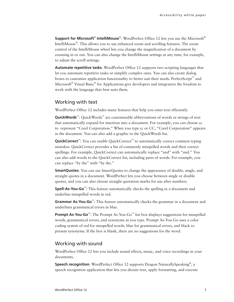<span id="page-6-0"></span>**Support for Microsoft<sup>®</sup> IntelliMouse<sup>®</sup>:** WordPerfect Office 12 lets you use the Microsoft<sup>®</sup> IntelliMouse® . This allows you to use enhanced zoom and scrolling features. The zoom control of the IntelliMouse wheel lets you change the magnification of a document by zooming in or out. You can also change the IntelliMouse settings at any time, for example, to adjust the scroll settings.

**Automate repetitive tasks**: WordPerfect Office 12 supports two scripting languages that let you automate repetitive tasks or simplify complex ones. You can also create dialog boxes to customize application functionality to better suit their needs. PerfectScript™ and Microsoft® Visual Basic® for Applications give developers and integrators the freedom to work with the language that best suits them.

#### Working with text

WordPerfect Office 12 includes many features that help you enter text efficiently.

QuickWords<sup>™</sup>: QuickWords<sup>™</sup> are customizable abbreviations of words or strings of text that automatically expand for insertion into a document. For example, you can choose cc to represent "Corel Corporation." When you type cc or CC, "Corel Corporation" appears in the document. You can also add a graphic to the QuickWords list.

QuickCorrect<sup>™</sup>: You can enable QuickCorrect<sup>™</sup> to automatically correct common typing mistakes. QuickCorrect provides a list of commonly misspelled words and their correct spellings. For example, QuickCorrect can automatically replace "and" with "and." You can also add words to the QuickCorrect list, including pairs of words. For example, you can replace "by the" with "by the."

**SmartQuotes:** You can use SmartQuotes to change the appearance of double, single, and straight quotes in a document. WordPerfect lets you choose between single or double quotes, and you can also choose straight quotation marks for use after numbers.

**Spell-As-You-Go**™ : This feature automatically checks the spelling in a document and underline misspelled words in red.

**Grammar As-You-Go**™ : This feature automatically checks the grammar in a document and underlines grammatical errors in blue.

**Prompt As-You-Go**<sup>™</sup>: The Prompt As-You-Go<sup>™</sup> list box displays suggestions for misspelled words, grammatical errors, and synonyms as you type. Prompt As-You-Go uses a color coding system of red for misspelled words, blue for grammatical errors, and black to present synonyms. If the box is blank, there are no suggestions for the word.

### Working with sound

WordPerfect Office 12 lets you include sound effects, music, and voice recordings in your documents.

**Speech recognition**: WordPerfect Office 12 supports Dragon NaturallySpeaking® , a speech recognition application that lets you dictate text, apply formatting, and execute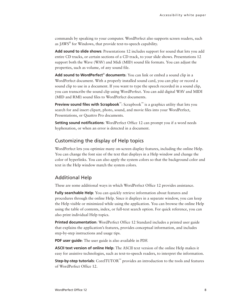<span id="page-7-0"></span>commands by speaking to your computer. WordPerfect also supports screen readers, such as JAWS® for Windows, that provide text-to-speech capability.

**Add sound to slide shows**: Presentations 12 includes support for sound that lets you add entire CD tracks, or certain sections of a CD track, to your slide shows. Presentations 12 support both the Wave (WAV) and Midi (MID) sound file formats. You can adjust the properties, such as volume, of any sound file.

**Add sound to WordPerfect**® **documents**: You can link or embed a sound clip in a WordPerfect document. With a properly installed sound card, you can play or record a sound clip to use in a document. If you want to type the speech recorded in a sound clip, you can transcribe the sound clip using WordPerfect. You can add digital WAV and MIDI (MID and RMI) sound files to WordPerfect documents.

**Preview sound files with Scrapbook**™: Scrapbook™ is a graphics utility that lets you search for and insert clipart, photo, sound, and movie files into your WordPerfect, Presentations, or Quattro Pro documents.

**Setting sound notifications:** WordPerfect Office 12 can prompt you if a word needs hyphenation, or when an error is detected in a document.

### Customizing the display of Help topics

WordPerfect lets you optimize many on-screen display features, including the online Help. You can change the font size of the text that displays in a Help window and change the color of hyperlinks. You can also apply the system colors so that the background color and text in the Help window match the system colors.

### Additional Help

These are some additional ways in which WordPerfect Office 12 provides assistance.

**Fully searchable Help**: You can quickly retrieve information about features and procedures through the online Help. Since it displays in a separate window, you can keep the Help visible or minimized while using the application. You can browse the online Help using the table of contents, index, or full-text search option. For quick reference, you can also print individual Help topics.

**Printed documentation**: WordPerfect Office 12 Standard includes a printed user guide that explains the application's features, provides conceptual information, and includes step-by-step instructions and usage tips.

**PDF user guide**: The user guide is also available in PDF.

**ASCII text version of online Help**: The ASCII text version of the online Help makes it easy for assistive technologies, such as text-to-speech readers, to interpret the information.

**Step-by-step tutorials:** CorelTUTOR<sup>™</sup> provides an introduction to the tools and features of WordPerfect Office 12.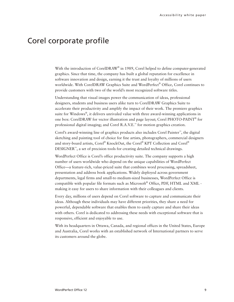## <span id="page-8-0"></span>Corel corporate profile

With the introduction of CorelDRAW® in 1989, Corel helped to define computer-generated graphics. Since that time, the company has built a global reputation for excellence in software innovation and design, earning it the trust and loyalty of millions of users worldwide. With CorelDRAW Graphics Suite and WordPerfect® Office, Corel continues to provide customers with two of the world's most recognized software titles.

Understanding that visual images power the communication of ideas, professional designers, students and business users alike turn to CorelDRAW Graphics Suite to accelerate their productivity and amplify the impact of their work. The premiere graphics suite for Windows® , it delivers unrivaled value with three award-winning applications in one box: CorelDRAW for vector illustration and page layout; Corel PHOTO-PAINT® for professional digital imaging; and Corel R.A.V.E.™ for motion graphics creation.

Corel's award-winning line of graphics products also includes Corel Painter™ , the digital sketching and painting tool of choice for fine artists, photographers, commercial designers and story-board artists, Corel® KnockOut, the Corel® KPT Collection and Corel® DESIGNER™ , a set of precision tools for creating detailed technical drawings.

WordPerfect Office is Corel's office productivity suite. The company supports a high number of users worldwide who depend on the unique capabilities of WordPerfect Office—a feature-rich, value-priced suite that combines word processing, spreadsheet, presentation and address book applications. Widely deployed across government departments, legal firms and small-to medium-sized businesses, WordPerfect Office is compatible with popular file formats such as Microsoft® Office, PDF, HTML and XML making it easy for users to share information with their colleagues and clients.

Every day, millions of users depend on Corel software to capture and communicate their ideas. Although these individuals may have different priorities, they share a need for powerful, dependable software that enables them to easily capture and share their ideas with others. Corel is dedicated to addressing these needs with exceptional software that is responsive, efficient and enjoyable to use.

With its headquarters in Ottawa, Canada, and regional offices in the United States, Europe and Australia, Corel works with an established network of International partners to serve its customers around the globe.